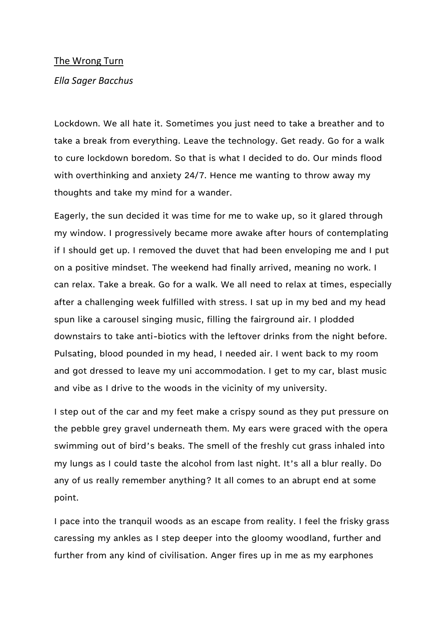## The Wrong Turn

## *Ella Sager Bacchus*

Lockdown. We all hate it. Sometimes you just need to take a breather and to take a break from everything. Leave the technology. Get ready. Go for a walk to cure lockdown boredom. So that is what I decided to do. Our minds flood with overthinking and anxiety 24/7. Hence me wanting to throw away my thoughts and take my mind for a wander.

Eagerly, the sun decided it was time for me to wake up, so it glared through my window. I progressively became more awake after hours of contemplating if I should get up. I removed the duvet that had been enveloping me and I put on a positive mindset. The weekend had finally arrived, meaning no work. I can relax. Take a break. Go for a walk. We all need to relax at times, especially after a challenging week fulfilled with stress. I sat up in my bed and my head spun like a carousel singing music, filling the fairground air. I plodded downstairs to take anti-biotics with the leftover drinks from the night before. Pulsating, blood pounded in my head, I needed air. I went back to my room and got dressed to leave my uni accommodation. I get to my car, blast music and vibe as I drive to the woods in the vicinity of my university.

I step out of the car and my feet make a crispy sound as they put pressure on the pebble grey gravel underneath them. My ears were graced with the opera swimming out of bird's beaks. The smell of the freshly cut grass inhaled into my lungs as I could taste the alcohol from last night. It's all a blur really. Do any of us really remember anything? It all comes to an abrupt end at some point.

I pace into the tranquil woods as an escape from reality. I feel the frisky grass caressing my ankles as I step deeper into the gloomy woodland, further and further from any kind of civilisation. Anger fires up in me as my earphones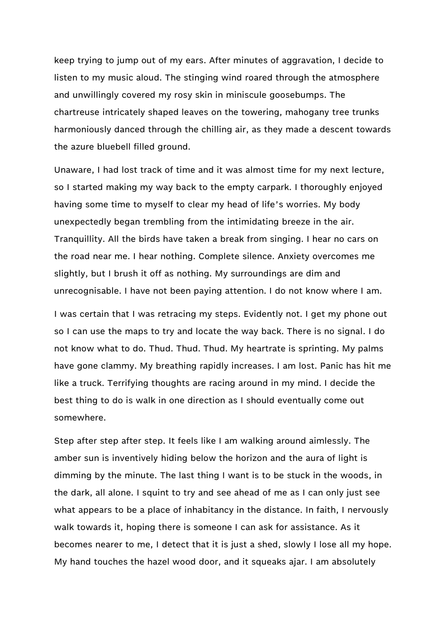keep trying to jump out of my ears. After minutes of aggravation, I decide to listen to my music aloud. The stinging wind roared through the atmosphere and unwillingly covered my rosy skin in miniscule goosebumps. The chartreuse intricately shaped leaves on the towering, mahogany tree trunks harmoniously danced through the chilling air, as they made a descent towards the azure bluebell filled ground.

Unaware, I had lost track of time and it was almost time for my next lecture, so I started making my way back to the empty carpark. I thoroughly enjoyed having some time to myself to clear my head of life's worries. My body unexpectedly began trembling from the intimidating breeze in the air. Tranquillity. All the birds have taken a break from singing. I hear no cars on the road near me. I hear nothing. Complete silence. Anxiety overcomes me slightly, but I brush it off as nothing. My surroundings are dim and unrecognisable. I have not been paying attention. I do not know where I am.

I was certain that I was retracing my steps. Evidently not. I get my phone out so I can use the maps to try and locate the way back. There is no signal. I do not know what to do. Thud. Thud. Thud. My heartrate is sprinting. My palms have gone clammy. My breathing rapidly increases. I am lost. Panic has hit me like a truck. Terrifying thoughts are racing around in my mind. I decide the best thing to do is walk in one direction as I should eventually come out somewhere.

Step after step after step. It feels like I am walking around aimlessly. The amber sun is inventively hiding below the horizon and the aura of light is dimming by the minute. The last thing I want is to be stuck in the woods, in the dark, all alone. I squint to try and see ahead of me as I can only just see what appears to be a place of inhabitancy in the distance. In faith, I nervously walk towards it, hoping there is someone I can ask for assistance. As it becomes nearer to me, I detect that it is just a shed, slowly I lose all my hope. My hand touches the hazel wood door, and it squeaks ajar. I am absolutely